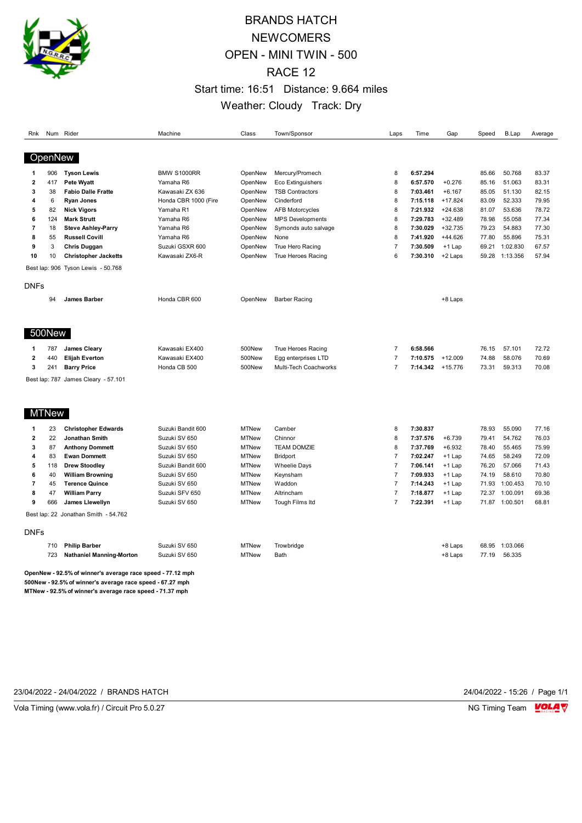

# BRANDS HATCH **NEWCOMERS** OPEN - MINI TWIN - 500 RACE 12 Start time: 16:51 Distance: 9.664 miles Weather: Cloudy Track: Dry

| Rnk                     |              | Num Rider                                                  | Machine              | Class        | Town/Sponsor            | Laps           | Time     | Gap       | Speed | <b>B.Lap</b>   | Average |
|-------------------------|--------------|------------------------------------------------------------|----------------------|--------------|-------------------------|----------------|----------|-----------|-------|----------------|---------|
| OpenNew                 |              |                                                            |                      |              |                         |                |          |           |       |                |         |
| -1                      | 906          | <b>Tyson Lewis</b>                                         | <b>BMW S1000RR</b>   | OpenNew      | Mercury/Promech         | 8              | 6:57.294 |           | 85.66 | 50.768         | 83.37   |
| $\overline{\mathbf{2}}$ | 417          | Pete Wyatt                                                 | Yamaha R6            | OpenNew      | Eco Extinguishers       | 8              | 6:57.570 | $+0.276$  | 85.16 | 51.063         | 83.31   |
| 3                       | 38           | <b>Fabio Dalle Fratte</b>                                  | Kawasaki ZX 636      | OpenNew      | <b>TSB Contractors</b>  | 8              | 7:03.461 | $+6.167$  | 85.05 | 51.130         | 82.15   |
| 4                       | 6            | <b>Ryan Jones</b>                                          | Honda CBR 1000 (Fire | OpenNew      | Cinderford              | 8              | 7:15.118 | $+17.824$ | 83.09 | 52.333         | 79.95   |
| 5                       | 82           | <b>Nick Vigors</b>                                         | Yamaha R1            | OpenNew      | <b>AFB Motorcycles</b>  | 8              | 7:21.932 | $+24.638$ | 81.07 | 53.636         | 78.72   |
| 6                       | 124          | <b>Mark Strutt</b>                                         | Yamaha R6            | OpenNew      | <b>MPS Developments</b> | 8              | 7:29.783 | $+32.489$ | 78.98 | 55.058         | 77.34   |
| $\overline{7}$          | 18           | <b>Steve Ashley-Parry</b>                                  | Yamaha R6            | OpenNew      | Symonds auto salvage    | 8              | 7:30.029 | $+32.735$ | 79.23 | 54.883         | 77.30   |
| 8                       | 55           | <b>Russell Covill</b>                                      | Yamaha R6            | OpenNew      | None                    | 8              | 7:41.920 | $+44.626$ | 77.80 | 55.896         | 75.31   |
| 9                       | 3            | Chris Duggan                                               | Suzuki GSXR 600      | OpenNew      | True Hero Racing        | $\overline{7}$ | 7:30.509 | $+1$ Lap  | 69.21 | 1:02.830       | 67.57   |
| 10                      | 10           | <b>Christopher Jacketts</b>                                | Kawasaki ZX6-R       | OpenNew      | True Heroes Racing      | 6              | 7:30.310 | +2 Laps   | 59.28 | 1:13.356       | 57.94   |
|                         |              | Best lap: 906 Tyson Lewis - 50.768                         |                      |              |                         |                |          |           |       |                |         |
| DNFs                    |              |                                                            |                      |              |                         |                |          |           |       |                |         |
|                         | 94           | <b>James Barber</b>                                        | Honda CBR 600        | OpenNew      | <b>Barber Racing</b>    |                |          | +8 Laps   |       |                |         |
|                         | 500New       |                                                            |                      |              |                         |                |          |           |       |                |         |
| -1                      | 787          | <b>James Cleary</b>                                        | Kawasaki EX400       | 500New       | True Heroes Racing      | $\overline{7}$ | 6:58.566 |           | 76.15 | 57.101         | 72.72   |
| $\overline{\mathbf{2}}$ | 440          | <b>Elijah Everton</b>                                      | Kawasaki EX400       | 500New       | Egg enterprises LTD     | $\overline{7}$ | 7:10.575 | $+12.009$ | 74.88 | 58.076         | 70.69   |
| 3                       | 241          | <b>Barry Price</b>                                         | Honda CB 500         | 500New       | Multi-Tech Coachworks   | $\overline{7}$ | 7:14.342 | $+15.776$ | 73.31 | 59.313         | 70.08   |
|                         |              | Best lap: 787 James Cleary - 57.101                        |                      |              |                         |                |          |           |       |                |         |
|                         | <b>MTNew</b> |                                                            |                      |              |                         |                |          |           |       |                |         |
| -1                      | 23           | <b>Christopher Edwards</b>                                 | Suzuki Bandit 600    | <b>MTNew</b> | Camber                  | 8              | 7:30.837 |           | 78.93 | 55.090         | 77.16   |
| 2                       | 22           | Jonathan Smith                                             | Suzuki SV 650        | <b>MTNew</b> | Chinnor                 | 8              | 7:37.576 | $+6.739$  | 79.41 | 54.762         | 76.03   |
| 3                       | 87           | <b>Anthony Dommett</b>                                     | Suzuki SV 650        | <b>MTNew</b> | <b>TEAM DOMZIE</b>      | 8              | 7:37.769 | $+6.932$  | 78.40 | 55.465         | 75.99   |
| 4                       | 83           | <b>Ewan Dommett</b>                                        | Suzuki SV 650        | <b>MTNew</b> | <b>Bridport</b>         | $\overline{7}$ | 7:02.247 | $+1$ Lap  | 74.65 | 58.249         | 72.09   |
| 5                       | 118          | <b>Drew Stoodley</b>                                       | Suzuki Bandit 600    | <b>MTNew</b> | <b>Wheelie Days</b>     | $\overline{7}$ | 7:06.141 | $+1$ Lap  | 76.20 | 57.066         | 71.43   |
| 6                       | 40           | <b>William Browning</b>                                    | Suzuki SV 650        | <b>MTNew</b> | Keynsham                | $\overline{7}$ | 7:09.933 | $+1$ Lap  | 74.19 | 58.610         | 70.80   |
| $\overline{7}$          | 45           | <b>Terence Quince</b>                                      | Suzuki SV 650        | <b>MTNew</b> | Waddon                  | $\overline{7}$ | 7:14.243 | $+1$ Lap  | 71.93 | 1:00.453       | 70.10   |
| 8                       | 47           | <b>William Parry</b>                                       | Suzuki SFV 650       | <b>MTNew</b> | Altrincham              | $\overline{7}$ | 7:18.877 | $+1$ Lap  | 72.37 | 1:00.091       | 69.36   |
| 9                       | 666          | James Llewellyn                                            | Suzuki SV 650        | <b>MTNew</b> | Tough Films Itd         | $\overline{7}$ | 7:22.391 | $+1$ Lap  |       | 71.87 1:00.501 | 68.81   |
|                         |              | Best lap: 22 Jonathan Smith - 54.762                       |                      |              |                         |                |          |           |       |                |         |
| <b>DNFs</b>             |              |                                                            |                      |              |                         |                |          |           |       |                |         |
|                         | 710          | <b>Philip Barber</b>                                       | Suzuki SV 650        | <b>MTNew</b> | Trowbridge              |                |          | +8 Laps   | 68.95 | 1:03.066       |         |
|                         | 723          | <b>Nathaniel Manning-Morton</b>                            | Suzuki SV 650        | <b>MTNew</b> | Bath                    |                |          | +8 Laps   | 77.19 | 56.335         |         |
|                         |              | OpenNew - 92.5% of winner's average race speed - 77.12 mph |                      |              |                         |                |          |           |       |                |         |

**500New - 92.5% of winner's average race speed - 67.27 mph MTNew - 92.5% of winner's average race speed - 71.37 mph**

23/04/2022 - 24/04/2022 / BRANDS HATCH 24/04/2022 - 15:26 / Page 1/1

Vola Timing (www.vola.fr) / Circuit Pro 5.0.27 NG Timing Team VOLA V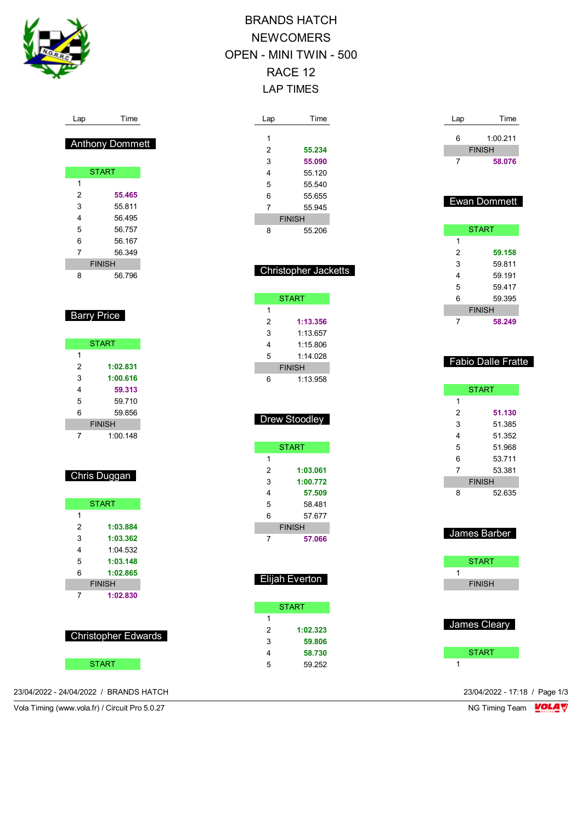

Lap Time

**START** 

 **55.465** 55.811 56.495 56.757 56.167 56.349 FINISH 56.796

**Barry Price** 

START

 **1:02.831 1:00.616 59.313** 59.710 59.856 FINISH 1:00.148

Chris Duggan

**START** 

 **1:03.884 1:03.362** 1:04.532 **1:03.148 1:02.865** FINISH **1:02.830**

Anthony Dommett

# BRANDS HATCH **NEWCOMERS** OPEN - MINI TWIN - 500 RACE 12 LAP TIMES

| Lap           | Time   |  |  |
|---------------|--------|--|--|
|               |        |  |  |
| 1             |        |  |  |
| 2             | 55.234 |  |  |
| 3             | 55.090 |  |  |
| 4             | 55 120 |  |  |
| 5             | 55.540 |  |  |
| 6             | 55.655 |  |  |
| 7             | 55 945 |  |  |
| <b>FINISH</b> |        |  |  |
| 8             | 55 206 |  |  |

|                | <b>Christopher Jacketts</b> |  |
|----------------|-----------------------------|--|
|                |                             |  |
|                | <b>START</b>                |  |
| 1              |                             |  |
| $\overline{2}$ | 1:13.356                    |  |
| 3              | 1:13.657                    |  |
| $\overline{4}$ | 1:15.806                    |  |
| 5              | 1:14.028                    |  |
|                | <b>FINISH</b>               |  |
| 6              | 1:13.958                    |  |
|                |                             |  |
|                |                             |  |
|                | <b>Drew Stoodley</b>        |  |
|                |                             |  |
|                | <b>START</b>                |  |
| 1              |                             |  |
| $\overline{2}$ | 1:03.061                    |  |
| 3              | 1:00.772                    |  |
| $\overline{4}$ |                             |  |
| 5              | 57.509                      |  |
| 6              | 58.481<br>57.677            |  |
|                | <b>FINISH</b>               |  |
| 7              | 57.066                      |  |
|                |                             |  |
|                |                             |  |
|                |                             |  |
|                | Elijah Everton              |  |
|                |                             |  |
|                | <b>START</b>                |  |
| 1              |                             |  |
| $\overline{c}$ | 1:02.323                    |  |

 **59.806 58.730** 59.252

| Lap           | Time    |  |  |  |
|---------------|---------|--|--|--|
| 6             | 1:00211 |  |  |  |
| <b>FINISH</b> |         |  |  |  |
|               | 58.076  |  |  |  |

## Ewan Dommett

| <b>START</b>  |        |  |  |  |  |
|---------------|--------|--|--|--|--|
| 1             |        |  |  |  |  |
| 2             | 59.158 |  |  |  |  |
| 3             | 59.811 |  |  |  |  |
| 4             | 59.191 |  |  |  |  |
| 5             | 59.417 |  |  |  |  |
| 6             | 59.395 |  |  |  |  |
| <b>FINISH</b> |        |  |  |  |  |
|               | 58.249 |  |  |  |  |

### Fabio Dalle Fratte

|               | <b>START</b> |  |  |  |
|---------------|--------------|--|--|--|
| 1             |              |  |  |  |
| 2             | 51.130       |  |  |  |
| 3             | 51 385       |  |  |  |
| 4             | 51 352       |  |  |  |
| 5             | 51 968       |  |  |  |
| 6             | 53 711       |  |  |  |
| 7             | 53.381       |  |  |  |
| <b>FINISH</b> |              |  |  |  |
| 8             | 52 635       |  |  |  |

| James Barber  |
|---------------|
| <b>START</b>  |
| 1             |
| <b>FINISH</b> |
|               |
| James Cleary  |
| <b>START</b>  |

23/04/2022 - 24/04/2022 / BRANDS HATCH 23/04/2022 - 17:18 / Page 1/3

Vola Timing (www.vola.fr) / Circuit Pro 5.0.27 **NG Timing Team MOLA View Area** NG Timing Team MOLA View Area NG Timing Team MOLA View Area NG Timing Team MOLA View Area NG Timing Team MOLA View Area NG Timing Team MOLA Vie

Christopher Edwards

**START**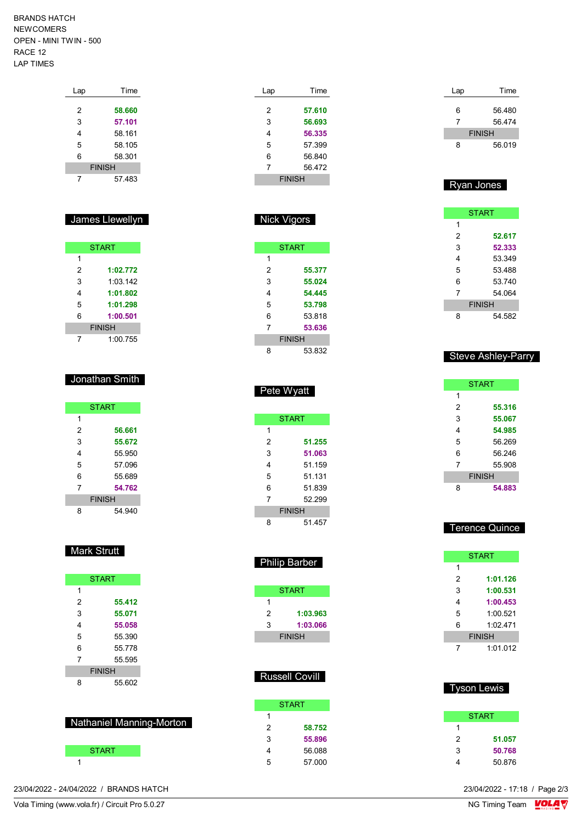BRANDS HATCH NEWCOMERS OPEN - MINI TWIN - 500 RACE 12 LAP TIMES

| Lap           | Time   |  |  |
|---------------|--------|--|--|
|               |        |  |  |
| 2             | 58.660 |  |  |
| 3             | 57.101 |  |  |
| 4             | 58.161 |  |  |
| 5             | 58.105 |  |  |
| 6             | 58.301 |  |  |
| <b>FINISH</b> |        |  |  |
|               | 57483  |  |  |

#### James Llewellyn

| <b>START</b>  |          |  |  |  |  |
|---------------|----------|--|--|--|--|
| 1             |          |  |  |  |  |
| 2             | 1:02.772 |  |  |  |  |
| 3             | 1:03:142 |  |  |  |  |
| 4             | 1:01.802 |  |  |  |  |
| 5             | 1:01.298 |  |  |  |  |
| 6             | 1:00.501 |  |  |  |  |
| <b>FINISH</b> |          |  |  |  |  |
|               | 1:00.755 |  |  |  |  |

#### Jonathan Smith

|               | <b>START</b> |  |  |  |
|---------------|--------------|--|--|--|
| 1             |              |  |  |  |
| 2             | 56.661       |  |  |  |
| 3             | 55.672       |  |  |  |
| 4             | 55 950       |  |  |  |
| 5             | 57 096       |  |  |  |
| 6             | 55.689       |  |  |  |
| 7             | 54.762       |  |  |  |
| <b>FINISH</b> |              |  |  |  |
| 8             | 54 940       |  |  |  |

## **Mark Strutt**

|               | <b>START</b> |  |  |  |
|---------------|--------------|--|--|--|
| 1             |              |  |  |  |
| 2             | 55.412       |  |  |  |
| 3             | 55.071       |  |  |  |
| 4             | 55.058       |  |  |  |
| 5             | 55 390       |  |  |  |
| 6             | 55.778       |  |  |  |
| 7             | 55 595       |  |  |  |
| <b>FINISH</b> |              |  |  |  |
| Զ             | 55.602       |  |  |  |

#### Nathaniel Manning-Morton

| START |  |
|-------|--|
|       |  |

| Time          |  |  |
|---------------|--|--|
|               |  |  |
| 57.610        |  |  |
| 56.693        |  |  |
| 56.335        |  |  |
| 57.399        |  |  |
| 56.840        |  |  |
| 56.472        |  |  |
| <b>FINISH</b> |  |  |
|               |  |  |

### Nick Vigors

| <b>START</b>  |        |  |
|---------------|--------|--|
| 1             |        |  |
| 2             | 55.377 |  |
| 3             | 55.024 |  |
| 4             | 54.445 |  |
| 5             | 53.798 |  |
| 6             | 53.818 |  |
| 7             | 53.636 |  |
| <b>FINISH</b> |        |  |
| ጸ             | 53.832 |  |

### Pete Wyatt

| <b>START</b>  |        |
|---------------|--------|
| 1             |        |
| 2             | 51.255 |
| 3             | 51.063 |
| 4             | 51.159 |
| 5             | 51 131 |
| 6             | 51.839 |
| 7             | 52.299 |
| <b>FINISH</b> |        |
| Զ             | 51 457 |

## Philip Barber

|               | <b>START</b> |  |
|---------------|--------------|--|
|               |              |  |
| 2             | 1:03.963     |  |
| 3             | 1:03.066     |  |
| <b>FINISH</b> |              |  |

### Russell Covill

|   | START  |
|---|--------|
| 1 |        |
| 2 | 58.752 |
| 3 | 55.896 |
| 4 | 56.088 |
| 5 | 57.000 |

| Lap | Time          |
|-----|---------------|
| 6   | 56.480        |
| 7   | 56.474        |
|     | <b>FINISH</b> |
| ጸ   | 56.019        |

## Ryan Jones

| <b>START</b>  |        |
|---------------|--------|
| 1             |        |
| 2             | 52.617 |
| 3             | 52.333 |
| 4             | 53 349 |
| 5             | 53488  |
| 6             | 53.740 |
| 7             | 54 064 |
| <b>FINISH</b> |        |
| 8             | 54.582 |

### **Steve Ashley-Parry**

| <b>START</b>  |        |
|---------------|--------|
| 1             |        |
| 2             | 55.316 |
| 3             | 55.067 |
| 4             | 54.985 |
| 5             | 56 269 |
| 6             | 56.246 |
| 7             | 55.908 |
| <b>FINISH</b> |        |
| 8             | 54.883 |

### Terence Quince

| <b>START</b>  |          |
|---------------|----------|
| 1             |          |
| 2             | 1:01.126 |
| 3             | 1:00.531 |
| 4             | 1:00.453 |
| 5             | 1:00.521 |
| 6             | 1.02471  |
| <b>FINISH</b> |          |
|               | 1:01.012 |

### Tyson Lewis

| <b>START</b> |
|--------------|
|              |
| 51.057       |
| 50.768       |
| 50.876       |
|              |

23/04/2022 - 24/04/2022 / BRANDS HATCH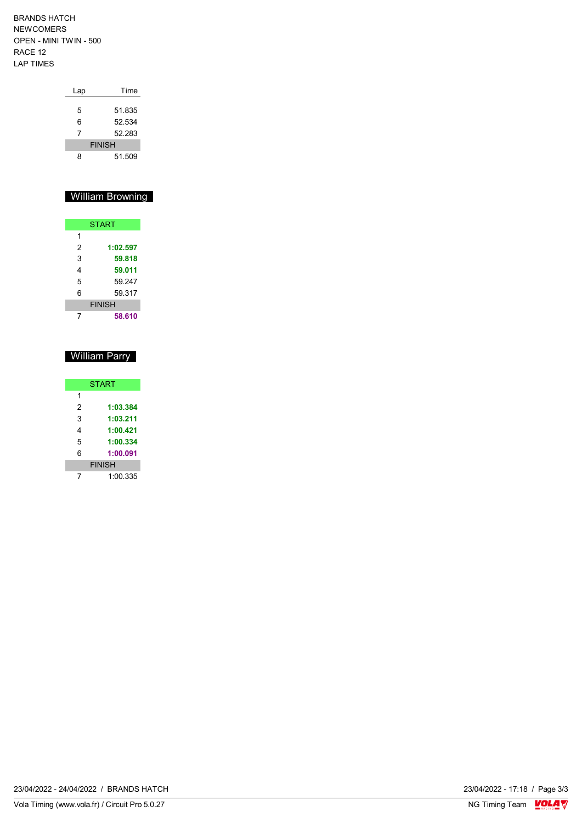BRANDS HATCH NEWCOMERS OPEN - MINI TWIN - 500 RACE 12 LAP TIMES

| Lap           | Time   |
|---------------|--------|
|               |        |
| 5             | 51.835 |
| 6             | 52.534 |
| 7             | 52 283 |
| <b>FINISH</b> |        |
| ጸ             | 51.509 |

### William Browning

|               | <b>START</b> |  |
|---------------|--------------|--|
| 1             |              |  |
| 2             | 1:02.597     |  |
| 3             | 59.818       |  |
| 4             | 59.011       |  |
| 5             | 59.247       |  |
| 6             | 59.317       |  |
| <b>FINISH</b> |              |  |
|               | 58.610       |  |

# William Parry

| <b>START</b>  |          |  |  |  |  |  |  |  |  |
|---------------|----------|--|--|--|--|--|--|--|--|
| 1             |          |  |  |  |  |  |  |  |  |
| 2             | 1:03.384 |  |  |  |  |  |  |  |  |
| 3             | 1:03.211 |  |  |  |  |  |  |  |  |
| 4             | 1:00.421 |  |  |  |  |  |  |  |  |
| 5             | 1:00.334 |  |  |  |  |  |  |  |  |
| 6             | 1:00.091 |  |  |  |  |  |  |  |  |
| <b>FINISH</b> |          |  |  |  |  |  |  |  |  |
|               | 1:00.335 |  |  |  |  |  |  |  |  |